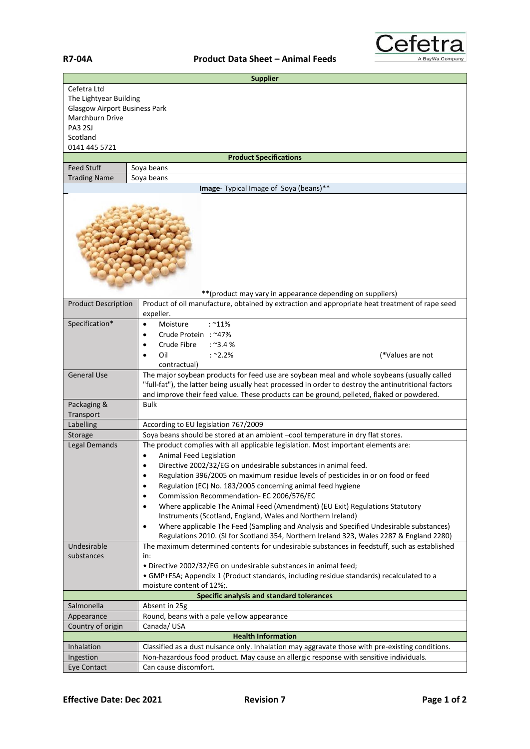## **R7-04A Product Data Sheet – Animal Feeds**



| <b>Supplier</b>                                                                                                                          |                                                                                                                                                                                                                                                                                                  |  |
|------------------------------------------------------------------------------------------------------------------------------------------|--------------------------------------------------------------------------------------------------------------------------------------------------------------------------------------------------------------------------------------------------------------------------------------------------|--|
| Cefetra Ltd<br>The Lightyear Building<br><b>Glasgow Airport Business Park</b><br>Marchburn Drive<br>PA3 2SJ<br>Scotland<br>0141 445 5721 |                                                                                                                                                                                                                                                                                                  |  |
|                                                                                                                                          | <b>Product Specifications</b>                                                                                                                                                                                                                                                                    |  |
| <b>Feed Stuff</b>                                                                                                                        | Soya beans                                                                                                                                                                                                                                                                                       |  |
| <b>Trading Name</b>                                                                                                                      | Soya beans                                                                                                                                                                                                                                                                                       |  |
|                                                                                                                                          | Image- Typical Image of Soya (beans)**                                                                                                                                                                                                                                                           |  |
|                                                                                                                                          |                                                                                                                                                                                                                                                                                                  |  |
| <b>Product Description</b>                                                                                                               | ** (product may vary in appearance depending on suppliers)<br>Product of oil manufacture, obtained by extraction and appropriate heat treatment of rape seed                                                                                                                                     |  |
|                                                                                                                                          | expeller.                                                                                                                                                                                                                                                                                        |  |
| Specification*                                                                                                                           | $:$ ~11%<br>Moisture<br>$\bullet$<br>Crude Protein: ~47%<br>$\bullet$<br>$:$ ~3.4 %<br>Crude Fibre<br>Oil<br>$:$ ~2.2%<br>(*Values are not                                                                                                                                                       |  |
|                                                                                                                                          | contractual)                                                                                                                                                                                                                                                                                     |  |
| <b>General Use</b>                                                                                                                       | The major soybean products for feed use are soybean meal and whole soybeans (usually called<br>"full-fat"), the latter being usually heat processed in order to destroy the antinutritional factors<br>and improve their feed value. These products can be ground, pelleted, flaked or powdered. |  |
| Packaging &                                                                                                                              | <b>Bulk</b>                                                                                                                                                                                                                                                                                      |  |
| Transport                                                                                                                                |                                                                                                                                                                                                                                                                                                  |  |
| Labelling<br>Storage                                                                                                                     | According to EU legislation 767/2009<br>Soya beans should be stored at an ambient -cool temperature in dry flat stores.                                                                                                                                                                          |  |
| <b>Legal Demands</b>                                                                                                                     | The product complies with all applicable legislation. Most important elements are:                                                                                                                                                                                                               |  |
|                                                                                                                                          | Animal Feed Legislation                                                                                                                                                                                                                                                                          |  |
|                                                                                                                                          | Directive 2002/32/EG on undesirable substances in animal feed.                                                                                                                                                                                                                                   |  |
|                                                                                                                                          | Regulation 396/2005 on maximum residue levels of pesticides in or on food or feed<br>$\bullet$                                                                                                                                                                                                   |  |
|                                                                                                                                          | Regulation (EC) No. 183/2005 concerning animal feed hygiene                                                                                                                                                                                                                                      |  |
|                                                                                                                                          | Commission Recommendation- EC 2006/576/EC<br>٠                                                                                                                                                                                                                                                   |  |
|                                                                                                                                          | Where applicable The Animal Feed (Amendment) (EU Exit) Regulations Statutory<br>$\bullet$                                                                                                                                                                                                        |  |
|                                                                                                                                          | Instruments (Scotland, England, Wales and Northern Ireland)                                                                                                                                                                                                                                      |  |
|                                                                                                                                          | Where applicable The Feed (Sampling and Analysis and Specified Undesirable substances)<br>$\bullet$                                                                                                                                                                                              |  |
|                                                                                                                                          | Regulations 2010. (SI for Scotland 354, Northern Ireland 323, Wales 2287 & England 2280)                                                                                                                                                                                                         |  |
| Undesirable                                                                                                                              | The maximum determined contents for undesirable substances in feedstuff, such as established                                                                                                                                                                                                     |  |
| substances                                                                                                                               | in:                                                                                                                                                                                                                                                                                              |  |
|                                                                                                                                          | · Directive 2002/32/EG on undesirable substances in animal feed;<br>• GMP+FSA; Appendix 1 (Product standards, including residue standards) recalculated to a                                                                                                                                     |  |
|                                                                                                                                          | moisture content of 12%;.                                                                                                                                                                                                                                                                        |  |
|                                                                                                                                          | <b>Specific analysis and standard tolerances</b>                                                                                                                                                                                                                                                 |  |
| Salmonella                                                                                                                               | Absent in 25g                                                                                                                                                                                                                                                                                    |  |
| Appearance                                                                                                                               | Round, beans with a pale yellow appearance                                                                                                                                                                                                                                                       |  |
| Country of origin                                                                                                                        | Canada/USA                                                                                                                                                                                                                                                                                       |  |
| <b>Health Information</b>                                                                                                                |                                                                                                                                                                                                                                                                                                  |  |
| Inhalation                                                                                                                               | Classified as a dust nuisance only. Inhalation may aggravate those with pre-existing conditions.                                                                                                                                                                                                 |  |
| Ingestion                                                                                                                                | Non-hazardous food product. May cause an allergic response with sensitive individuals.                                                                                                                                                                                                           |  |
| Eye Contact                                                                                                                              | Can cause discomfort.                                                                                                                                                                                                                                                                            |  |